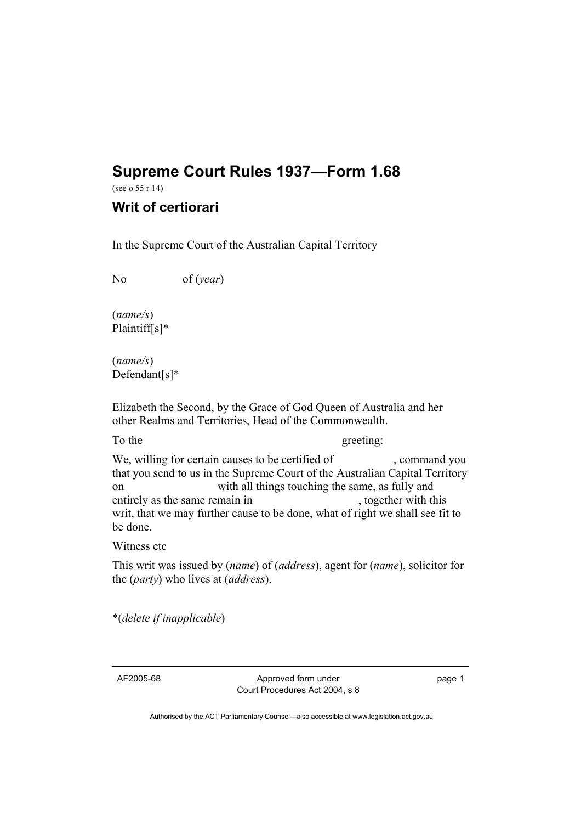## **Supreme Court Rules 1937—Form 1.68**

(see o 55 r 14)

## **Writ of certiorari**

In the Supreme Court of the Australian Capital Territory

No of (*year*)

(*name/s*) Plaintiff[s]\*

(*name/s*) Defendant[s]\*

Elizabeth the Second, by the Grace of God Queen of Australia and her other Realms and Territories, Head of the Commonwealth.

## To the greeting:

We, willing for certain causes to be certified of , command you that you send to us in the Supreme Court of the Australian Capital Territory on with all things touching the same, as fully and entirely as the same remain in , together with this writ, that we may further cause to be done, what of right we shall see fit to be done.

Witness etc

This writ was issued by (*name*) of (*address*), agent for (*name*), solicitor for the (*party*) who lives at (*address*).

\*(*delete if inapplicable*)

AF2005-68 Approved form under Court Procedures Act 2004, s 8 page 1

Authorised by the ACT Parliamentary Counsel—also accessible at www.legislation.act.gov.au